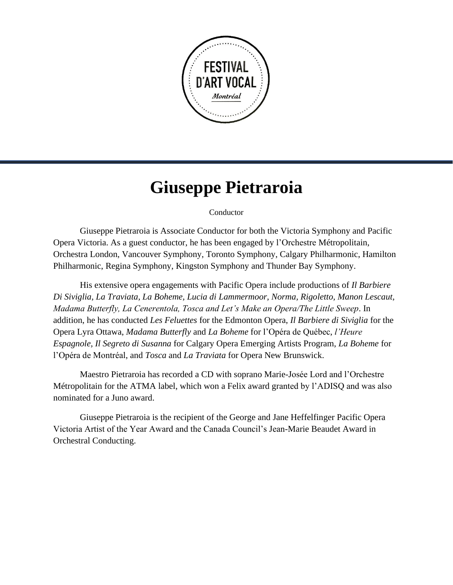

## **Giuseppe Pietraroia**

## Conductor

Giuseppe Pietraroia is Associate Conductor for both the Victoria Symphony and Pacific Opera Victoria. As a guest conductor, he has been engaged by l'Orchestre Métropolitain, Orchestra London, Vancouver Symphony, Toronto Symphony, Calgary Philharmonic, Hamilton Philharmonic, Regina Symphony, Kingston Symphony and Thunder Bay Symphony.

His extensive opera engagements with Pacific Opera include productions of *Il Barbiere Di Siviglia, La Traviata, La Boheme, Lucia di Lammermoor, Norma, Rigoletto, Manon Lescaut, Madama Butterfly, La Cenerentola, Tosca and Let's Make an Opera/The Little Sweep*. In addition, he has conducted *Les Feluettes* for the Edmonton Opera, *Il Barbiere di Siviglia* for the Opera Lyra Ottawa, *Madama Butterfly* and *La Boheme* for l'Opéra de Québec, *l'Heure Espagnole, Il Segreto di Susanna* for Calgary Opera Emerging Artists Program, *La Boheme* for l'Opéra de Montréal, and *Tosca* and *La Traviata* for Opera New Brunswick.

Maestro Pietraroia has recorded a CD with soprano Marie-Josée Lord and l'Orchestre Métropolitain for the ATMA label, which won a Felix award granted by l'ADISQ and was also nominated for a Juno award.

Giuseppe Pietraroia is the recipient of the George and Jane Heffelfinger Pacific Opera Victoria Artist of the Year Award and the Canada Council's Jean-Marie Beaudet Award in Orchestral Conducting.